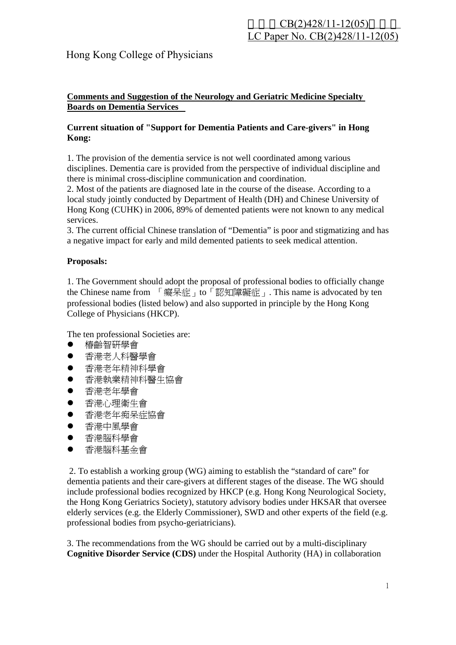# $CB(2)428/11-12(05)$ LC Paper No. CB(2)428/11-12(05)

## Hong Kong College of Physicians

### **Comments and Suggestion of the Neurology and Geriatric Medicine Specialty Boards on Dementia Services**

#### **Current situation of "Support for Dementia Patients and Care-givers" in Hong Kong:**

1. The provision of the dementia service is not well coordinated among various disciplines. Dementia care is provided from the perspective of individual discipline and there is minimal cross-discipline communication and coordination.

2. Most of the patients are diagnosed late in the course of the disease. According to a local study jointly conducted by Department of Health (DH) and Chinese University of Hong Kong (CUHK) in 2006, 89% of demented patients were not known to any medical services.

3. The current official Chinese translation of "Dementia" is poor and stigmatizing and has a negative impact for early and mild demented patients to seek medical attention.

### **Proposals:**

1. The Government should adopt the proposal of professional bodies to officially change the Chinese name from 「癡呆症」to「認知障礙症」. This name is advocated by ten professional bodies (listed below) and also supported in principle by the Hong Kong College of Physicians (HKCP).

The ten professional Societies are:

- z 椿齡智研學會
- z 香港老人科醫學會
- z 香港老年精神科學會
- 香港執業精神科醫生協會
- 香港老年學會
- z 香港心理衛生會
- z 香港老年痴呆症協會
- 香港中風學會
- 香港腦科學會
- z 香港腦科基金會

 2. To establish a working group (WG) aiming to establish the "standard of care" for dementia patients and their care-givers at different stages of the disease. The WG should include professional bodies recognized by HKCP (e.g. Hong Kong Neurological Society, the Hong Kong Geriatrics Society), statutory advisory bodies under HKSAR that oversee elderly services (e.g. the Elderly Commissioner), SWD and other experts of the field (e.g. professional bodies from psycho-geriatricians).

3. The recommendations from the WG should be carried out by a multi-disciplinary **Cognitive Disorder Service (CDS)** under the Hospital Authority (HA) in collaboration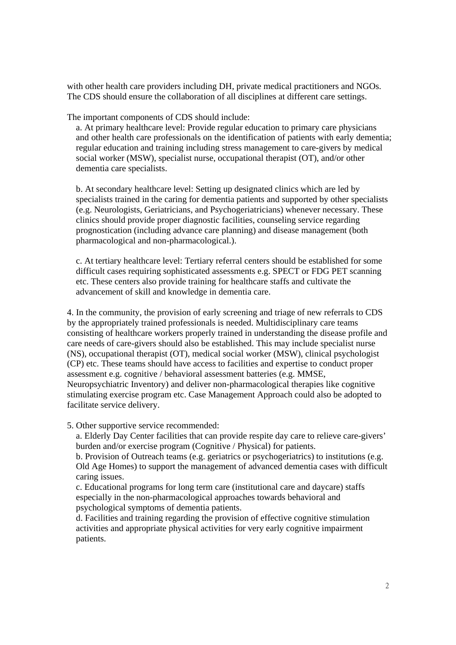with other health care providers including DH, private medical practitioners and NGOs. The CDS should ensure the collaboration of all disciplines at different care settings.

The important components of CDS should include:

a. At primary healthcare level: Provide regular education to primary care physicians and other health care professionals on the identification of patients with early dementia; regular education and training including stress management to care-givers by medical social worker (MSW), specialist nurse, occupational therapist (OT), and/or other dementia care specialists.

b. At secondary healthcare level: Setting up designated clinics which are led by specialists trained in the caring for dementia patients and supported by other specialists (e.g. Neurologists, Geriatricians, and Psychogeriatricians) whenever necessary. These clinics should provide proper diagnostic facilities, counseling service regarding prognostication (including advance care planning) and disease management (both pharmacological and non-pharmacological.).

c. At tertiary healthcare level: Tertiary referral centers should be established for some difficult cases requiring sophisticated assessments e.g. SPECT or FDG PET scanning etc. These centers also provide training for healthcare staffs and cultivate the advancement of skill and knowledge in dementia care.

4. In the community, the provision of early screening and triage of new referrals to CDS by the appropriately trained professionals is needed. Multidisciplinary care teams consisting of healthcare workers properly trained in understanding the disease profile and care needs of care-givers should also be established. This may include specialist nurse (NS), occupational therapist (OT), medical social worker (MSW), clinical psychologist (CP) etc. These teams should have access to facilities and expertise to conduct proper assessment e.g. cognitive / behavioral assessment batteries (e.g. MMSE, Neuropsychiatric Inventory) and deliver non-pharmacological therapies like cognitive stimulating exercise program etc. Case Management Approach could also be adopted to facilitate service delivery.

5. Other supportive service recommended:

a. Elderly Day Center facilities that can provide respite day care to relieve care-givers' burden and/or exercise program (Cognitive / Physical) for patients.

b. Provision of Outreach teams (e.g. geriatrics or psychogeriatrics) to institutions (e.g. Old Age Homes) to support the management of advanced dementia cases with difficult caring issues.

c. Educational programs for long term care (institutional care and daycare) staffs especially in the non-pharmacological approaches towards behavioral and psychological symptoms of dementia patients.

d. Facilities and training regarding the provision of effective cognitive stimulation activities and appropriate physical activities for very early cognitive impairment patients.